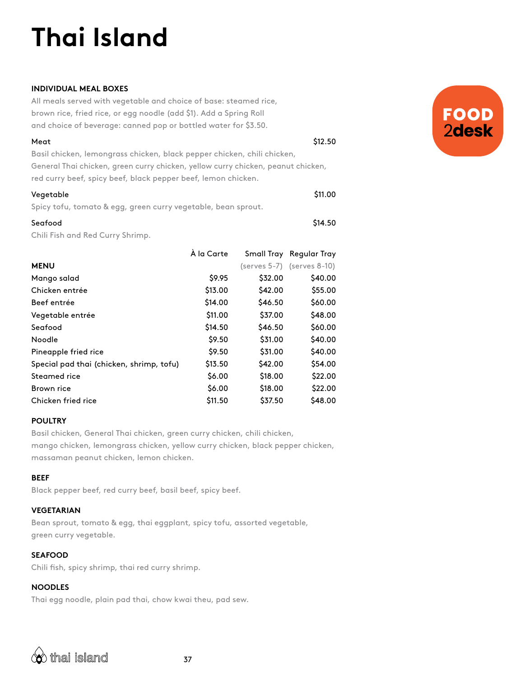# **Thai Island**

## **INDIVIDUAL MEAL BOXES**

All meals served with vegetable and choice of base: steamed rice, brown rice, fried rice, or egg noodle (add \$1). Add a Spring Roll and choice of beverage: canned pop or bottled water for \$3.50.

| Meat                                                                             | \$12.50 |
|----------------------------------------------------------------------------------|---------|
| Basil chicken, lemongrass chicken, black pepper chicken, chili chicken,          |         |
| General Thai chicken, green curry chicken, yellow curry chicken, peanut chicken, |         |
| red curry beef, spicy beef, black pepper beef, lemon chicken.                    |         |
| Vegetable                                                                        | \$11.00 |

Spicy tofu, tomato & egg, green curry vegetable, bean sprout.

# Seafood \$14.50 Chili Fish and Red Curry Shrimp.

|                                          | À la Carte |         | Small Tray Regular Tray         |
|------------------------------------------|------------|---------|---------------------------------|
| <b>MENU</b>                              |            |         | $(serves 5-7)$ (serves $8-10$ ) |
| Mango salad                              | \$9.95     | \$32.00 | \$40.00                         |
| Chicken entrée                           | \$13.00    | \$42.00 | \$55.00                         |
| Beef entrée                              | \$14.00    | \$46.50 | \$60.00                         |
| Vegetable entrée                         | \$11.00    | \$37.00 | \$48.00                         |
| Seafood                                  | \$14.50    | \$46.50 | \$60.00                         |
| Noodle                                   | \$9.50     | \$31.00 | \$40.00                         |
| Pineapple fried rice                     | \$9.50     | \$31.00 | \$40.00                         |
| Special pad thai (chicken, shrimp, tofu) | \$13.50    | \$42.00 | \$54.00                         |
| Steamed rice                             | \$6.00     | \$18.00 | \$22.00                         |
| Brown rice                               | \$6.00     | \$18.00 | \$22.00                         |
| Chicken fried rice                       | \$11.50    | \$37.50 | \$48.00                         |

# **POULTRY**

Basil chicken, General Thai chicken, green curry chicken, chili chicken, mango chicken, lemongrass chicken, yellow curry chicken, black pepper chicken, massaman peanut chicken, lemon chicken.

### **BEEF**

Black pepper beef, red curry beef, basil beef, spicy beef.

# **VEGETARIAN**

Bean sprout, tomato & egg, thai eggplant, spicy tofu, assorted vegetable, green curry vegetable.

37

# **SEAFOOD**

Chili fish, spicy shrimp, thai red curry shrimp.

# **NOODLES**

Thai egg noodle, plain pad thai, chow kwai theu, pad sew.